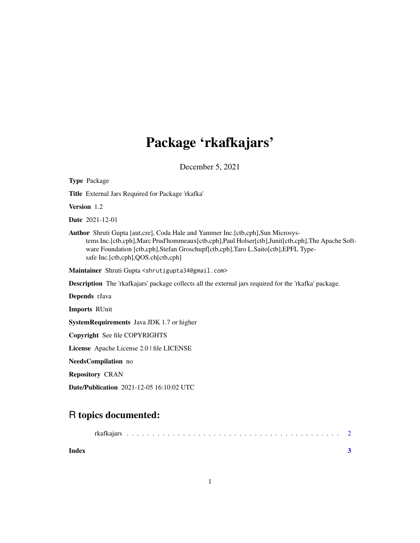## Package 'rkafkajars'

December 5, 2021

| <b>Type Package</b>                                                                                                                                                                                                                                                                                                   |
|-----------------------------------------------------------------------------------------------------------------------------------------------------------------------------------------------------------------------------------------------------------------------------------------------------------------------|
| Title External Jars Required for Package 'rkafka'                                                                                                                                                                                                                                                                     |
| Version 1.2                                                                                                                                                                                                                                                                                                           |
| <b>Date</b> 2021-12-01                                                                                                                                                                                                                                                                                                |
| <b>Author</b> Shruti Gupta [aut,cre], Coda Hale and Yammer Inc. [ctb,cph], Sun Microsys-<br>tems Inc.[ctb,cph],Marc Prud'hommeaux[ctb,cph],Paul Holser[ctb],Junit[ctb,cph],The Apache Soft-<br>ware Foundation [ctb,cph],Stefan Groschupf[ctb,cph],Taro L.Saito[ctb],EPFL Type-<br>safe Inc.[ctb,cph],QOS.ch[ctb,cph] |
| Maintainer Shruti Gupta <shrutigupta34@gmail.com></shrutigupta34@gmail.com>                                                                                                                                                                                                                                           |
| <b>Description</b> The 'rkafkajars' package collects all the external jars required for the 'rkafka' package.                                                                                                                                                                                                         |
| Depends rJava                                                                                                                                                                                                                                                                                                         |
| <b>Imports RUnit</b>                                                                                                                                                                                                                                                                                                  |
| <b>SystemRequirements</b> Java JDK 1.7 or higher                                                                                                                                                                                                                                                                      |
| Copyright See file COPYRIGHTS                                                                                                                                                                                                                                                                                         |
| License Apache License 2.0   file LICENSE                                                                                                                                                                                                                                                                             |
| NeedsCompilation no                                                                                                                                                                                                                                                                                                   |
| <b>Repository CRAN</b>                                                                                                                                                                                                                                                                                                |
| <b>Date/Publication</b> 2021-12-05 16:10:02 UTC                                                                                                                                                                                                                                                                       |

### R topics documented:

| Index |  |  |  |  |  |  |  |  |  |  |  |  |  |  |  |  |  |  |
|-------|--|--|--|--|--|--|--|--|--|--|--|--|--|--|--|--|--|--|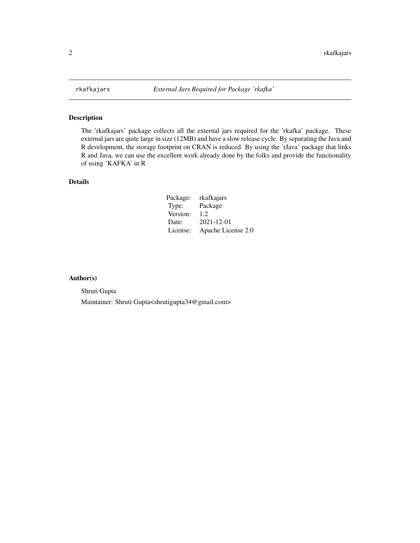<span id="page-1-0"></span>

#### Description

The 'rkafkajars' package collects all the external jars required for the 'rkafka' package. These external jars are quite large in size (12MB) and have a slow release cycle. By separating the Java and R development, the storage footprint on CRAN is reduced. By using the 'rJava' package that links R and Java, we can use the excellent work already done by the folks and provide the functionality of using 'KAFKA' in R

#### Details

| Package: | rkafkajars         |
|----------|--------------------|
| Type:    | Package            |
| Version: | 1.2                |
| Date:    | $2021 - 12 - 01$   |
| License: | Apache License 2.0 |

#### Author(s)

Shruti Gupta

Maintainer: Shruti Gupta<shrutigupta34@gmail.com>